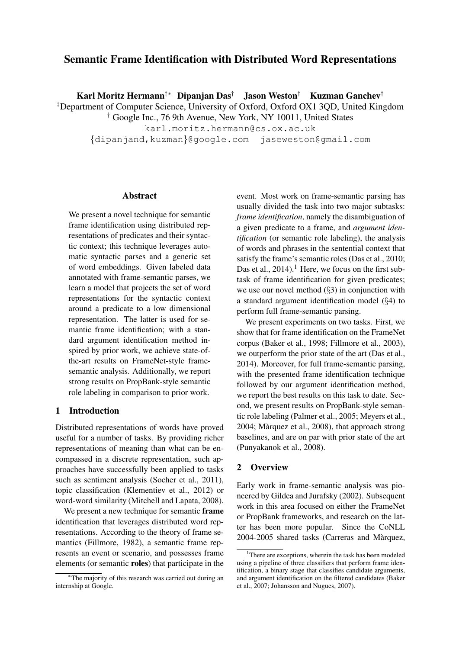# Semantic Frame Identification with Distributed Word Representations

Karl Moritz Hermann‡∗ Dipanjan Das† Jason Weston† Kuzman Ganchev†

‡Department of Computer Science, University of Oxford, Oxford OX1 3QD, United Kingdom † Google Inc., 76 9th Avenue, New York, NY 10011, United States

karl.moritz.hermann@cs.ox.ac.uk

{dipanjand,kuzman}@google.com jaseweston@gmail.com

#### Abstract

We present a novel technique for semantic frame identification using distributed representations of predicates and their syntactic context; this technique leverages automatic syntactic parses and a generic set of word embeddings. Given labeled data annotated with frame-semantic parses, we learn a model that projects the set of word representations for the syntactic context around a predicate to a low dimensional representation. The latter is used for semantic frame identification; with a standard argument identification method inspired by prior work, we achieve state-ofthe-art results on FrameNet-style framesemantic analysis. Additionally, we report strong results on PropBank-style semantic role labeling in comparison to prior work.

# 1 Introduction

Distributed representations of words have proved useful for a number of tasks. By providing richer representations of meaning than what can be encompassed in a discrete representation, such approaches have successfully been applied to tasks such as sentiment analysis (Socher et al., 2011), topic classification (Klementiev et al., 2012) or word-word similarity (Mitchell and Lapata, 2008).

We present a new technique for semantic **frame** identification that leverages distributed word representations. According to the theory of frame semantics (Fillmore, 1982), a semantic frame represents an event or scenario, and possesses frame elements (or semantic roles) that participate in the

event. Most work on frame-semantic parsing has usually divided the task into two major subtasks: *frame identification*, namely the disambiguation of a given predicate to a frame, and *argument identification* (or semantic role labeling), the analysis of words and phrases in the sentential context that satisfy the frame's semantic roles (Das et al., 2010; Das et al.,  $2014$ .<sup>1</sup> Here, we focus on the first subtask of frame identification for given predicates; we use our novel method (§3) in conjunction with a standard argument identification model (§4) to perform full frame-semantic parsing.

We present experiments on two tasks. First, we show that for frame identification on the FrameNet corpus (Baker et al., 1998; Fillmore et al., 2003), we outperform the prior state of the art (Das et al., 2014). Moreover, for full frame-semantic parsing, with the presented frame identification technique followed by our argument identification method, we report the best results on this task to date. Second, we present results on PropBank-style semantic role labeling (Palmer et al., 2005; Meyers et al., 2004; Marquez et al., 2008), that approach strong ` baselines, and are on par with prior state of the art (Punyakanok et al., 2008).

# 2 Overview

Early work in frame-semantic analysis was pioneered by Gildea and Jurafsky (2002). Subsequent work in this area focused on either the FrameNet or PropBank frameworks, and research on the latter has been more popular. Since the CoNLL 2004-2005 shared tasks (Carreras and Marquez, `

<sup>∗</sup>The majority of this research was carried out during an internship at Google.

<sup>&</sup>lt;sup>1</sup>There are exceptions, wherein the task has been modeled using a pipeline of three classifiers that perform frame identification, a binary stage that classifies candidate arguments, and argument identification on the filtered candidates (Baker et al., 2007; Johansson and Nugues, 2007).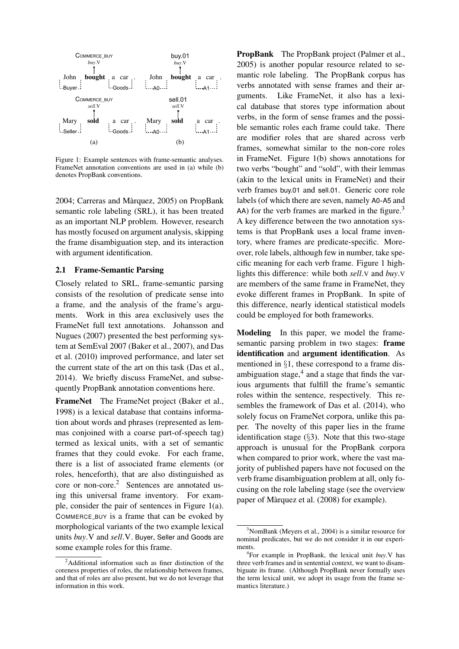

Figure 1: Example sentences with frame-semantic analyses. FrameNet annotation conventions are used in (a) while (b) denotes PropBank conventions.

2004; Carreras and Marquez, 2005) on PropBank ` semantic role labeling (SRL), it has been treated as an important NLP problem. However, research has mostly focused on argument analysis, skipping the frame disambiguation step, and its interaction with argument identification.

#### 2.1 Frame-Semantic Parsing

Closely related to SRL, frame-semantic parsing consists of the resolution of predicate sense into a frame, and the analysis of the frame's arguments. Work in this area exclusively uses the FrameNet full text annotations. Johansson and Nugues (2007) presented the best performing system at SemEval 2007 (Baker et al., 2007), and Das et al. (2010) improved performance, and later set the current state of the art on this task (Das et al., 2014). We briefly discuss FrameNet, and subsequently PropBank annotation conventions here.

FrameNet The FrameNet project (Baker et al., 1998) is a lexical database that contains information about words and phrases (represented as lemmas conjoined with a coarse part-of-speech tag) termed as lexical units, with a set of semantic frames that they could evoke. For each frame, there is a list of associated frame elements (or roles, henceforth), that are also distinguished as core or non-core.<sup>2</sup> Sentences are annotated using this universal frame inventory. For example, consider the pair of sentences in Figure 1(a). COMMERCE BUY is a frame that can be evoked by morphological variants of the two example lexical units *buy*.V and *sell*.V. Buyer, Seller and Goods are some example roles for this frame.

PropBank The PropBank project (Palmer et al., 2005) is another popular resource related to semantic role labeling. The PropBank corpus has verbs annotated with sense frames and their arguments. Like FrameNet, it also has a lexical database that stores type information about verbs, in the form of sense frames and the possible semantic roles each frame could take. There are modifier roles that are shared across verb frames, somewhat similar to the non-core roles in FrameNet. Figure 1(b) shows annotations for two verbs "bought" and "sold", with their lemmas (akin to the lexical units in FrameNet) and their verb frames buy.01 and sell.01. Generic core role labels (of which there are seven, namely A0-A5 and  $(A)$  for the verb frames are marked in the figure.<sup>3</sup> A key difference between the two annotation systems is that PropBank uses a local frame inventory, where frames are predicate-specific. Moreover, role labels, although few in number, take specific meaning for each verb frame. Figure 1 highlights this difference: while both *sell*.V and *buy*.V are members of the same frame in FrameNet, they evoke different frames in PropBank. In spite of this difference, nearly identical statistical models could be employed for both frameworks.

Modeling In this paper, we model the framesemantic parsing problem in two stages: frame identification and argument identification. As mentioned in §1, these correspond to a frame disambiguation stage, $4$  and a stage that finds the various arguments that fulfill the frame's semantic roles within the sentence, respectively. This resembles the framework of Das et al. (2014), who solely focus on FrameNet corpora, unlike this paper. The novelty of this paper lies in the frame identification stage  $(\S 3)$ . Note that this two-stage approach is unusual for the PropBank corpora when compared to prior work, where the vast majority of published papers have not focused on the verb frame disambiguation problem at all, only focusing on the role labeling stage (see the overview paper of Màrquez et al. (2008) for example).

 $2$ Additional information such as finer distinction of the coreness properties of roles, the relationship between frames, and that of roles are also present, but we do not leverage that information in this work.

<sup>3</sup>NomBank (Meyers et al., 2004) is a similar resource for nominal predicates, but we do not consider it in our experiments.

<sup>4</sup> For example in PropBank, the lexical unit *buy*.V has three verb frames and in sentential context, we want to disambiguate its frame. (Although PropBank never formally uses the term lexical unit, we adopt its usage from the frame semantics literature.)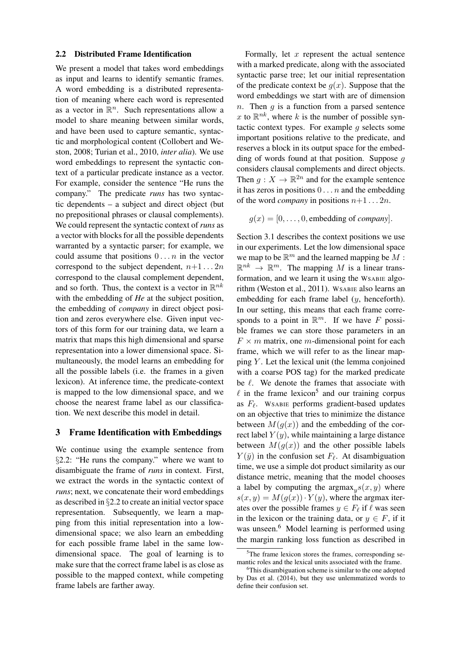#### 2.2 Distributed Frame Identification

We present a model that takes word embeddings as input and learns to identify semantic frames. A word embedding is a distributed representation of meaning where each word is represented as a vector in  $\mathbb{R}^n$ . Such representations allow a model to share meaning between similar words, and have been used to capture semantic, syntactic and morphological content (Collobert and Weston, 2008; Turian et al., 2010, *inter alia*). We use word embeddings to represent the syntactic context of a particular predicate instance as a vector. For example, consider the sentence "He runs the company." The predicate *runs* has two syntactic dependents – a subject and direct object (but no prepositional phrases or clausal complements). We could represent the syntactic context of *runs* as a vector with blocks for all the possible dependents warranted by a syntactic parser; for example, we could assume that positions  $0 \ldots n$  in the vector correspond to the subject dependent,  $n+1... 2n$ correspond to the clausal complement dependent, and so forth. Thus, the context is a vector in  $\mathbb{R}^{nk}$ with the embedding of *He* at the subject position, the embedding of *company* in direct object position and zeros everywhere else. Given input vectors of this form for our training data, we learn a matrix that maps this high dimensional and sparse representation into a lower dimensional space. Simultaneously, the model learns an embedding for all the possible labels (i.e. the frames in a given lexicon). At inference time, the predicate-context is mapped to the low dimensional space, and we choose the nearest frame label as our classification. We next describe this model in detail.

# 3 Frame Identification with Embeddings

We continue using the example sentence from §2.2: "He runs the company." where we want to disambiguate the frame of *runs* in context. First, we extract the words in the syntactic context of *runs*; next, we concatenate their word embeddings as described in §2.2 to create an initial vector space representation. Subsequently, we learn a mapping from this initial representation into a lowdimensional space; we also learn an embedding for each possible frame label in the same lowdimensional space. The goal of learning is to make sure that the correct frame label is as close as possible to the mapped context, while competing frame labels are farther away.

Formally, let  $x$  represent the actual sentence with a marked predicate, along with the associated syntactic parse tree; let our initial representation of the predicate context be  $g(x)$ . Suppose that the word embeddings we start with are of dimension n. Then  $q$  is a function from a parsed sentence x to  $\mathbb{R}^{nk}$ , where k is the number of possible syntactic context types. For example  $q$  selects some important positions relative to the predicate, and reserves a block in its output space for the embedding of words found at that position. Suppose  $q$ considers clausal complements and direct objects. Then  $g: X \to \mathbb{R}^{2n}$  and for the example sentence it has zeros in positions  $0 \ldots n$  and the embedding of the word *company* in positions  $n+1... 2n$ .

 $g(x) = [0, \ldots, 0,$  embedding of *company*.

Section 3.1 describes the context positions we use in our experiments. Let the low dimensional space we map to be  $\mathbb{R}^m$  and the learned mapping be  $M$ :  $\mathbb{R}^{nk} \to \mathbb{R}^m$ . The mapping M is a linear transformation, and we learn it using the WSABIE algorithm (Weston et al., 2011). WSABIE also learns an embedding for each frame label (y, henceforth). In our setting, this means that each frame corresponds to a point in  $\mathbb{R}^m$ . If we have F possible frames we can store those parameters in an  $F \times m$  matrix, one *m*-dimensional point for each frame, which we will refer to as the linear mapping  $Y$ . Let the lexical unit (the lemma conjoined with a coarse POS tag) for the marked predicate be  $\ell$ . We denote the frames that associate with  $\ell$  in the frame lexicon<sup>5</sup> and our training corpus as  $F_\ell$ . WSABIE performs gradient-based updates on an objective that tries to minimize the distance between  $M(g(x))$  and the embedding of the correct label  $Y(y)$ , while maintaining a large distance between  $M(g(x))$  and the other possible labels  $Y(\bar{y})$  in the confusion set  $F_{\ell}$ . At disambiguation time, we use a simple dot product similarity as our distance metric, meaning that the model chooses a label by computing the  $\argmax_{y} s(x, y)$  where  $s(x, y) = M(g(x)) \cdot Y(y)$ , where the argmax iterates over the possible frames  $y \in F_\ell$  if  $\ell$  was seen in the lexicon or the training data, or  $y \in F$ , if it was unseen.<sup>6</sup> Model learning is performed using the margin ranking loss function as described in

<sup>&</sup>lt;sup>5</sup>The frame lexicon stores the frames, corresponding semantic roles and the lexical units associated with the frame.

<sup>&</sup>lt;sup>6</sup>This disambiguation scheme is similar to the one adopted by Das et al. (2014), but they use unlemmatized words to define their confusion set.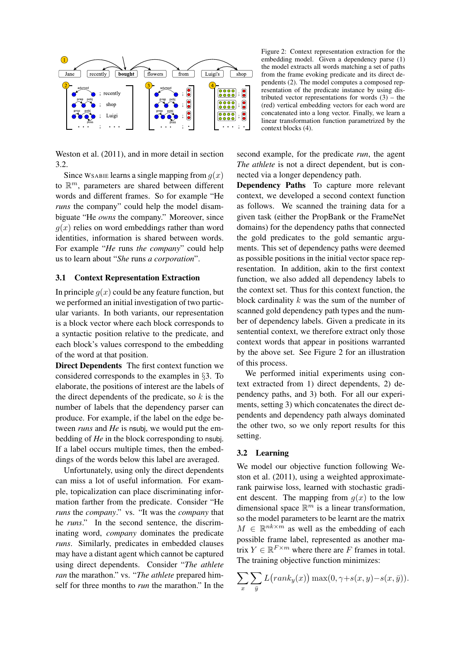

Figure 2: Context representation extraction for the embedding model. Given a dependency parse (1) the model extracts all words matching a set of paths from the frame evoking predicate and its direct dependents (2). The model computes a composed representation of the predicate instance by using distributed vector representations for words  $(3)$  – the (red) vertical embedding vectors for each word are concatenated into a long vector. Finally, we learn a linear transformation function parametrized by the context blocks (4).

Weston et al. (2011), and in more detail in section 3.2.

Since WSABIE learns a single mapping from  $q(x)$ to  $\mathbb{R}^m$ , parameters are shared between different words and different frames. So for example "He *runs* the company" could help the model disambiguate "He *owns* the company." Moreover, since  $g(x)$  relies on word embeddings rather than word identities, information is shared between words. For example "*He* runs *the company*" could help us to learn about "*She* runs *a corporation*".

## 3.1 Context Representation Extraction

In principle  $q(x)$  could be any feature function, but we performed an initial investigation of two particular variants. In both variants, our representation is a block vector where each block corresponds to a syntactic position relative to the predicate, and each block's values correspond to the embedding of the word at that position.

Direct Dependents The first context function we considered corresponds to the examples in §3. To elaborate, the positions of interest are the labels of the direct dependents of the predicate, so  $k$  is the number of labels that the dependency parser can produce. For example, if the label on the edge between *runs* and *He* is nsubj, we would put the embedding of *He* in the block corresponding to nsubj. If a label occurs multiple times, then the embeddings of the words below this label are averaged.

Unfortunately, using only the direct dependents can miss a lot of useful information. For example, topicalization can place discriminating information farther from the predicate. Consider "He *runs* the *company*." vs. "It was the *company* that he *runs*." In the second sentence, the discriminating word, *company* dominates the predicate *runs*. Similarly, predicates in embedded clauses may have a distant agent which cannot be captured using direct dependents. Consider "*The athlete ran* the marathon." vs. "*The athlete* prepared himself for three months to *run* the marathon." In the second example, for the predicate *run*, the agent *The athlete* is not a direct dependent, but is connected via a longer dependency path.

Dependency Paths To capture more relevant context, we developed a second context function as follows. We scanned the training data for a given task (either the PropBank or the FrameNet domains) for the dependency paths that connected the gold predicates to the gold semantic arguments. This set of dependency paths were deemed as possible positions in the initial vector space representation. In addition, akin to the first context function, we also added all dependency labels to the context set. Thus for this context function, the block cardinality  $k$  was the sum of the number of scanned gold dependency path types and the number of dependency labels. Given a predicate in its sentential context, we therefore extract only those context words that appear in positions warranted by the above set. See Figure 2 for an illustration of this process.

We performed initial experiments using context extracted from 1) direct dependents, 2) dependency paths, and 3) both. For all our experiments, setting 3) which concatenates the direct dependents and dependency path always dominated the other two, so we only report results for this setting.

## 3.2 Learning

We model our objective function following Weston et al. (2011), using a weighted approximaterank pairwise loss, learned with stochastic gradient descent. The mapping from  $q(x)$  to the low dimensional space  $\mathbb{R}^m$  is a linear transformation, so the model parameters to be learnt are the matrix  $M \in \mathbb{R}^{nk \times m}$  as well as the embedding of each possible frame label, represented as another matrix  $Y \in \mathbb{R}^{F \times m}$  where there are F frames in total. The training objective function minimizes:

$$
\sum_{x} \sum_{\bar{y}} L\big( rank_y(x) \big) \max(0, \gamma + s(x, y) - s(x, \bar{y})).
$$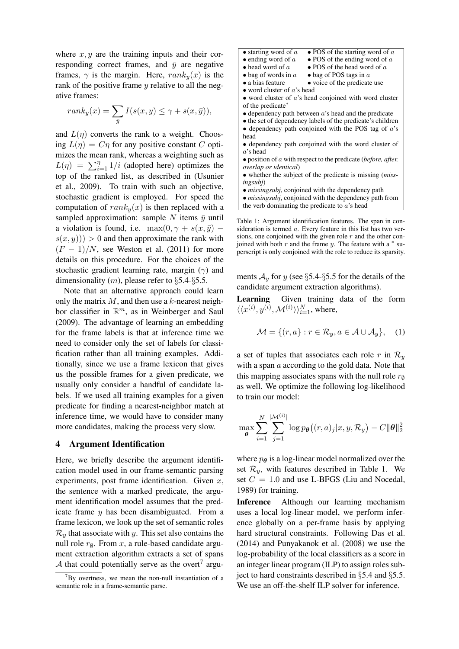where  $x, y$  are the training inputs and their corresponding correct frames, and  $\bar{y}$  are negative frames,  $\gamma$  is the margin. Here,  $rank_u(x)$  is the rank of the positive frame y relative to all the negative frames:

$$
rank_y(x) = \sum_{\bar{y}} I(s(x, y) \le \gamma + s(x, \bar{y})),
$$

and  $L(\eta)$  converts the rank to a weight. Choosing  $L(\eta) = C\eta$  for any positive constant C optimizes the mean rank, whereas a weighting such as  $L(\eta) = \sum_{i=1}^{\eta} 1/i$  (adopted here) optimizes the top of the ranked list, as described in (Usunier et al., 2009). To train with such an objective, stochastic gradient is employed. For speed the computation of  $rank_y(x)$  is then replaced with a sampled approximation: sample  $N$  items  $\bar{y}$  until a violation is found, i.e.  $\max(0, \gamma + s(x, \bar{y})$  –  $s(x, y)$ ) > 0 and then approximate the rank with  $(F-1)/N$ , see Weston et al. (2011) for more details on this procedure. For the choices of the stochastic gradient learning rate, margin  $(\gamma)$  and dimensionality  $(m)$ , please refer to §5.4-§5.5.

Note that an alternative approach could learn only the matrix  $M$ , and then use a  $k$ -nearest neighbor classifier in  $\mathbb{R}^m$ , as in Weinberger and Saul (2009). The advantage of learning an embedding for the frame labels is that at inference time we need to consider only the set of labels for classification rather than all training examples. Additionally, since we use a frame lexicon that gives us the possible frames for a given predicate, we usually only consider a handful of candidate labels. If we used all training examples for a given predicate for finding a nearest-neighbor match at inference time, we would have to consider many more candidates, making the process very slow.

#### 4 Argument Identification

Here, we briefly describe the argument identification model used in our frame-semantic parsing experiments, post frame identification. Given  $x$ , the sentence with a marked predicate, the argument identification model assumes that the predicate frame  $y$  has been disambiguated. From a frame lexicon, we look up the set of semantic roles  $\mathcal{R}_y$  that associate with y. This set also contains the null role  $r_{\emptyset}$ . From x, a rule-based candidate argument extraction algorithm extracts a set of spans A that could potentially serve as the overt<sup>7</sup> argu-



- *missingsubj*, conjoined with the dependency path
- *missingsubj*, conjoined with the dependency path from the verb dominating the predicate to  $a$ 's head

Table 1: Argument identification features. The span in consideration is termed  $a$ . Every feature in this list has two versions, one conjoined with the given role  $r$  and the other conjoined with both  $r$  and the frame  $y$ . The feature with a  $*$  superscript is only conjoined with the role to reduce its sparsity.

ments  $A_y$  for y (see §5.4-§5.5 for the details of the candidate argument extraction algorithms).

Learning Given training data of the form  $\langle\langle x^{(i)}, y^{(i)}, \mathcal{M}^{(i)} \rangle\rangle_{i=1}^N$ , where,

$$
\mathcal{M} = \{ (r, a) : r \in \mathcal{R}_y, a \in \mathcal{A} \cup \mathcal{A}_y \}, \quad (1)
$$

a set of tuples that associates each role r in  $\mathcal{R}_y$ with a span a according to the gold data. Note that this mapping associates spans with the null role  $r_{\phi}$ as well. We optimize the following log-likelihood to train our model:

$$
\max_{\boldsymbol{\theta}} \sum_{i=1}^N \sum_{j=1}^{\vert \mathcal{M}^{(i)} \vert} \log p_{\boldsymbol{\theta}} \big( (r,a)_j \vert x,y, \mathcal{R}_y \big) - C \|\boldsymbol{\theta}\|_2^2
$$

where  $p_{\theta}$  is a log-linear model normalized over the set  $\mathcal{R}_y$ , with features described in Table 1. We set  $C = 1.0$  and use L-BFGS (Liu and Nocedal, 1989) for training.

Inference Although our learning mechanism uses a local log-linear model, we perform inference globally on a per-frame basis by applying hard structural constraints. Following Das et al. (2014) and Punyakanok et al. (2008) we use the log-probability of the local classifiers as a score in an integer linear program (ILP) to assign roles subject to hard constraints described in §5.4 and §5.5. We use an off-the-shelf ILP solver for inference.

 $7By$  overtness, we mean the non-null instantiation of a semantic role in a frame-semantic parse.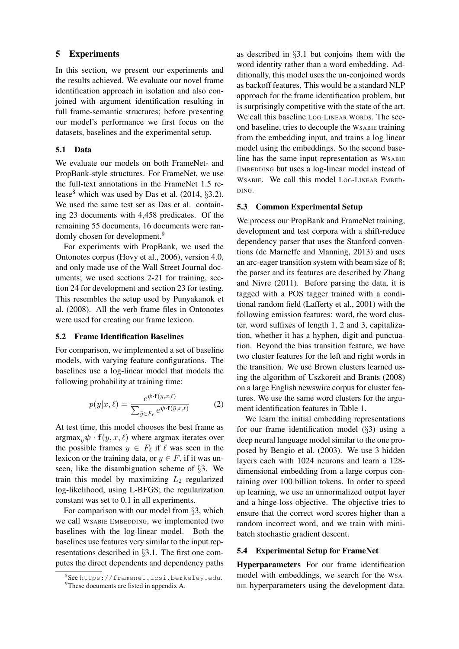# 5 Experiments

In this section, we present our experiments and the results achieved. We evaluate our novel frame identification approach in isolation and also conjoined with argument identification resulting in full frame-semantic structures; before presenting our model's performance we first focus on the datasets, baselines and the experimental setup.

# 5.1 Data

We evaluate our models on both FrameNet- and PropBank-style structures. For FrameNet, we use the full-text annotations in the FrameNet 1.5 release<sup>8</sup> which was used by Das et al.  $(2014, \S3.2)$ . We used the same test set as Das et al. containing 23 documents with 4,458 predicates. Of the remaining 55 documents, 16 documents were randomly chosen for development.<sup>9</sup>

For experiments with PropBank, we used the Ontonotes corpus (Hovy et al., 2006), version 4.0, and only made use of the Wall Street Journal documents; we used sections 2-21 for training, section 24 for development and section 23 for testing. This resembles the setup used by Punyakanok et al. (2008). All the verb frame files in Ontonotes were used for creating our frame lexicon.

#### 5.2 Frame Identification Baselines

For comparison, we implemented a set of baseline models, with varying feature configurations. The baselines use a log-linear model that models the following probability at training time:

$$
p(y|x,\ell) = \frac{e^{\psi \cdot \mathbf{f}(y,x,\ell)}}{\sum_{\bar{y} \in F_{\ell}} e^{\psi \cdot \mathbf{f}(\bar{y},x,\ell)}}
$$
(2)

At test time, this model chooses the best frame as  $argmax_{y} \psi \cdot f(y, x, \ell)$  where argmax iterates over the possible frames  $y \in F_\ell$  if  $\ell$  was seen in the lexicon or the training data, or  $y \in F$ , if it was unseen, like the disambiguation scheme of §3. We train this model by maximizing  $L_2$  regularized log-likelihood, using L-BFGS; the regularization constant was set to 0.1 in all experiments.

For comparison with our model from §3, which we call WSABIE EMBEDDING, we implemented two baselines with the log-linear model. Both the baselines use features very similar to the input representations described in §3.1. The first one computes the direct dependents and dependency paths

as described in §3.1 but conjoins them with the word identity rather than a word embedding. Additionally, this model uses the un-conjoined words as backoff features. This would be a standard NLP approach for the frame identification problem, but is surprisingly competitive with the state of the art. We call this baseline LOG-LINEAR WORDS. The second baseline, tries to decouple the WSABIE training from the embedding input, and trains a log linear model using the embeddings. So the second baseline has the same input representation as WSABIE EMBEDDING but uses a log-linear model instead of WSABIE. We call this model LOG-LINEAR EMBED-DING.

#### 5.3 Common Experimental Setup

We process our PropBank and FrameNet training, development and test corpora with a shift-reduce dependency parser that uses the Stanford conventions (de Marneffe and Manning, 2013) and uses an arc-eager transition system with beam size of 8; the parser and its features are described by Zhang and Nivre (2011). Before parsing the data, it is tagged with a POS tagger trained with a conditional random field (Lafferty et al., 2001) with the following emission features: word, the word cluster, word suffixes of length 1, 2 and 3, capitalization, whether it has a hyphen, digit and punctuation. Beyond the bias transition feature, we have two cluster features for the left and right words in the transition. We use Brown clusters learned using the algorithm of Uszkoreit and Brants (2008) on a large English newswire corpus for cluster features. We use the same word clusters for the argument identification features in Table 1.

We learn the initial embedding representations for our frame identification model (§3) using a deep neural language model similar to the one proposed by Bengio et al. (2003). We use 3 hidden layers each with 1024 neurons and learn a 128 dimensional embedding from a large corpus containing over 100 billion tokens. In order to speed up learning, we use an unnormalized output layer and a hinge-loss objective. The objective tries to ensure that the correct word scores higher than a random incorrect word, and we train with minibatch stochastic gradient descent.

## 5.4 Experimental Setup for FrameNet

Hyperparameters For our frame identification model with embeddings, we search for the WSA-BIE hyperparameters using the development data.

<sup>8</sup> See https://framenet.icsi.berkeley.edu.

<sup>&</sup>lt;sup>9</sup>These documents are listed in appendix A.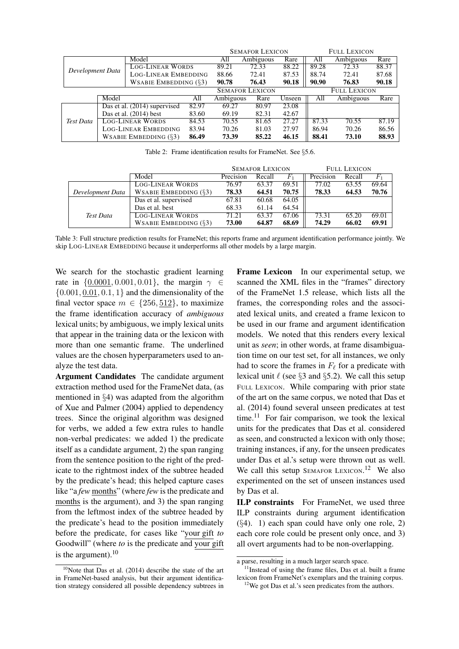|                  |       |                                   |                        | <b>SEMAFOR LEXICON</b> |           |                     | <b>FULL LEXICON</b> |           |       |  |
|------------------|-------|-----------------------------------|------------------------|------------------------|-----------|---------------------|---------------------|-----------|-------|--|
| Development Data |       | Model                             |                        | All                    | Ambiguous | Rare                | All                 | Ambiguous | Rare  |  |
|                  |       | <b>LOG-LINEAR WORDS</b>           |                        | 89.21                  | 72.33     | 88.22               | 89.28               | 72.33     | 88.37 |  |
|                  |       | <b>LOG-LINEAR EMBEDDING</b>       |                        | 88.66                  | 72.41     | 87.53               | 88.74               | 72.41     | 87.68 |  |
|                  |       | WSABIE EMBEDDING $(\S3)$          |                        | 90.78                  | 76.43     | 90.18               | 90.90               | 76.83     | 90.18 |  |
|                  |       |                                   | <b>SEMAFOR LEXICON</b> |                        |           | <b>FULL LEXICON</b> |                     |           |       |  |
|                  | Model |                                   | All                    | Ambiguous              | Rare      | Unseen              | All                 | Ambiguous | Rare  |  |
|                  |       | Das et al. (2014) supervised      | 82.97                  | 69.27                  | 80.97     | 23.08               |                     |           |       |  |
|                  |       | Das et al. $(2014)$ best<br>83.60 |                        | 69.19                  | 82.31     | 42.67               |                     |           |       |  |
| Test Data        |       | <b>LOG-LINEAR WORDS</b><br>84.53  |                        | 70.55                  | 81.65     | 27.27               | 87.33               | 70.55     | 87.19 |  |
|                  |       | <b>LOG-LINEAR EMBEDDING</b>       | 83.94                  | 70.26                  | 81.03     | 27.97               | 86.94               | 70.26     | 86.56 |  |
|                  |       | WSABIE EMBEDDING $(\S3)$          | 86.49                  | 73.39                  | 85.22     | 46.15               | 88.41               | 73.10     | 88.93 |  |

Table 2: Frame identification results for FrameNet. See §5.6.

|                  |                           | <b>SEMAFOR LEXICON</b> |        | <b>FULL LEXICON</b> |           |        |       |
|------------------|---------------------------|------------------------|--------|---------------------|-----------|--------|-------|
|                  | Model                     | Precision              | Recall | $F_1$               | Precision | Recall |       |
|                  | <b>LOG-LINEAR WORDS</b>   | 76.97                  | 63.37  | 69.51               | 77.02     | 63.55  | 69.64 |
| Development Data | WSABIE EMBEDDING $(\S$ 3) | 78.33                  | 64.51  | 70.75               | 78.33     | 64.53  | 70.76 |
|                  | Das et al. supervised     | 67.81                  | 60.68  | 64.05               |           |        |       |
|                  | Das et al. best           | 68.33                  | 61.14  | 64.54               |           |        |       |
| Test Data        | <b>LOG-LINEAR WORDS</b>   | 71.21                  | 63.37  | 67.06               | 73.31     | 65.20  | 69.01 |
|                  | WSABIE EMBEDDING $(\S$ 3) | 73.00                  | 64.87  | 68.69               | 74.29     | 66.02  | 69.91 |

Table 3: Full structure prediction results for FrameNet; this reports frame and argument identification performance jointly. We skip LOG-LINEAR EMBEDDING because it underperforms all other models by a large margin.

We search for the stochastic gradient learning rate in  $\{0.0001, 0.001, 0.01\}$ , the margin  $\gamma \in$  $\{0.001, 0.01, 0.1, 1\}$  and the dimensionality of the final vector space  $m \in \{256, 512\}$ , to maximize the frame identification accuracy of *ambiguous* lexical units; by ambiguous, we imply lexical units that appear in the training data or the lexicon with more than one semantic frame. The underlined values are the chosen hyperparameters used to analyze the test data.

Argument Candidates The candidate argument extraction method used for the FrameNet data, (as mentioned in §4) was adapted from the algorithm of Xue and Palmer (2004) applied to dependency trees. Since the original algorithm was designed for verbs, we added a few extra rules to handle non-verbal predicates: we added 1) the predicate itself as a candidate argument, 2) the span ranging from the sentence position to the right of the predicate to the rightmost index of the subtree headed by the predicate's head; this helped capture cases like "a *few* months" (where *few* is the predicate and months is the argument), and 3) the span ranging from the leftmost index of the subtree headed by the predicate's head to the position immediately before the predicate, for cases like "your gift *to* Goodwill" (where *to* is the predicate and your gift is the argument). $10$ 

Frame Lexicon In our experimental setup, we scanned the XML files in the "frames" directory of the FrameNet 1.5 release, which lists all the frames, the corresponding roles and the associated lexical units, and created a frame lexicon to be used in our frame and argument identification models. We noted that this renders every lexical unit as *seen*; in other words, at frame disambiguation time on our test set, for all instances, we only had to score the frames in  $F_\ell$  for a predicate with lexical unit  $\ell$  (see §3 and §5.2). We call this setup FULL LEXICON. While comparing with prior state of the art on the same corpus, we noted that Das et al. (2014) found several unseen predicates at test time.<sup>11</sup> For fair comparison, we took the lexical units for the predicates that Das et al. considered as seen, and constructed a lexicon with only those; training instances, if any, for the unseen predicates under Das et al.'s setup were thrown out as well. We call this setup SEMAFOR LEXICON.<sup>12</sup> We also experimented on the set of unseen instances used by Das et al.

ILP constraints For FrameNet, we used three ILP constraints during argument identification  $(\S4)$ . 1) each span could have only one role, 2) each core role could be present only once, and 3) all overt arguments had to be non-overlapping.

 $10$ Note that Das et al. (2014) describe the state of the art in FrameNet-based analysis, but their argument identification strategy considered all possible dependency subtrees in

a parse, resulting in a much larger search space.

 $11$ Instead of using the frame files, Das et al. built a frame lexicon from FrameNet's exemplars and the training corpus.

 $12$ We got Das et al.'s seen predicates from the authors.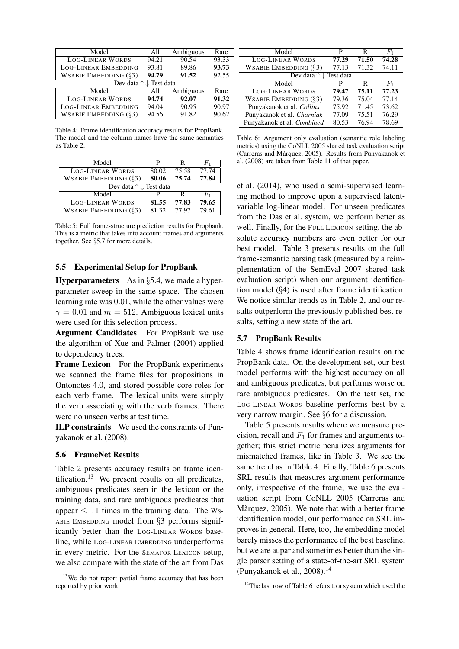| Model                                    | All   | Ambiguous | Rare  |  |
|------------------------------------------|-------|-----------|-------|--|
| <b>LOG-LINEAR WORDS</b>                  | 94.21 | 90.54     | 93.33 |  |
| <b>LOG-LINEAR EMBEDDING</b>              | 93.81 | 89.86     | 93.73 |  |
| WSABIE EMBEDDING $(\S$ 3)                | 94.79 | 91.52     | 92.55 |  |
| Dev data $\uparrow \downarrow$ Test data |       |           |       |  |
| Model                                    | All   | Ambiguous | Rare  |  |
| <b>LOG-LINEAR WORDS</b>                  | 94.74 | 92.07     | 91.32 |  |
| <b>LOG-LINEAR EMBEDDING</b>              | 94.04 | 90.95     | 90.97 |  |
| WSABIE EMBEDDING $(\S3)$                 | 94.56 | 91.82     | 90.62 |  |

Table 4: Frame identification accuracy results for PropBank. The model and the column names have the same semantics as Table 2.

| Model                                    | р     | R     | F1      |
|------------------------------------------|-------|-------|---------|
| <b>LOG-LINEAR WORDS</b>                  | 80.02 | 75.58 | 77.74   |
| WSABIE EMBEDDING $(\S 3)$                | 80.06 | 75.74 | 77.84   |
| Dev data $\uparrow \downarrow$ Test data |       |       |         |
| Model                                    |       | R     | $F_{1}$ |
| <b>LOG-LINEAR WORDS</b>                  | 81.55 | 77.83 | 79.65   |
| WSABIE EMBEDDING $(\S$ 3)                | 81.32 | 77.97 | 79.61   |

Table 5: Full frame-structure prediction results for Propbank. This is a metric that takes into account frames and arguments together. See §5.7 for more details.

# 5.5 Experimental Setup for PropBank

Hyperparameters As in §5.4, we made a hyperparameter sweep in the same space. The chosen learning rate was 0.01, while the other values were  $\gamma = 0.01$  and  $m = 512$ . Ambiguous lexical units were used for this selection process.

Argument Candidates For PropBank we use the algorithm of Xue and Palmer (2004) applied to dependency trees.

Frame Lexicon For the PropBank experiments we scanned the frame files for propositions in Ontonotes 4.0, and stored possible core roles for each verb frame. The lexical units were simply the verb associating with the verb frames. There were no unseen verbs at test time.

ILP constraints We used the constraints of Punyakanok et al. (2008).

#### 5.6 FrameNet Results

Table 2 presents accuracy results on frame identification.<sup>13</sup> We present results on all predicates, ambiguous predicates seen in the lexicon or the training data, and rare ambiguous predicates that appear  $\leq 11$  times in the training data. The Ws-ABIE EMBEDDING model from §3 performs significantly better than the LOG-LINEAR WORDS baseline, while LOG-LINEAR EMBEDDING underperforms in every metric. For the SEMAFOR LEXICON setup, we also compare with the state of the art from Das

| Model                                    | P     | R     | $F_{1}$ |
|------------------------------------------|-------|-------|---------|
| <b>LOG-LINEAR WORDS</b>                  | 77.29 | 71.50 | 74.28   |
| WSABIE EMBEDDING $(\S$ 3)                | 77.13 | 71.32 | 74.11   |
| Dev data $\uparrow \downarrow$ Test data |       |       |         |
| Model                                    | P     | R     | $F_1$   |
| <b>LOG-LINEAR WORDS</b>                  | 79.47 | 75.11 | 77.23   |
| WSABIE EMBEDDING $(\S 3)$                | 79.36 | 75.04 | 77.14   |
| Punyakanok et al. Collins                | 75.92 | 71.45 | 73.62   |
| Punyakanok et al. Charniak               | 77.09 | 75.51 | 76.29   |
| Punyakanok et al. Combined               | 80.53 | 76.94 | 78.69   |

Table 6: Argument only evaluation (semantic role labeling metrics) using the CoNLL 2005 shared task evaluation script (Carreras and Marquez, 2005). Results from Punyakanok et ` al. (2008) are taken from Table 11 of that paper.

et al. (2014), who used a semi-supervised learning method to improve upon a supervised latentvariable log-linear model. For unseen predicates from the Das et al. system, we perform better as well. Finally, for the FULL LEXICON setting, the absolute accuracy numbers are even better for our best model. Table 3 presents results on the full frame-semantic parsing task (measured by a reimplementation of the SemEval 2007 shared task evaluation script) when our argument identification model (§4) is used after frame identification. We notice similar trends as in Table 2, and our results outperform the previously published best results, setting a new state of the art.

## 5.7 PropBank Results

Table 4 shows frame identification results on the PropBank data. On the development set, our best model performs with the highest accuracy on all and ambiguous predicates, but performs worse on rare ambiguous predicates. On the test set, the LOG-LINEAR WORDS baseline performs best by a very narrow margin. See §6 for a discussion.

Table 5 presents results where we measure precision, recall and  $F_1$  for frames and arguments together; this strict metric penalizes arguments for mismatched frames, like in Table 3. We see the same trend as in Table 4. Finally, Table 6 presents SRL results that measures argument performance only, irrespective of the frame; we use the evaluation script from CoNLL 2005 (Carreras and Màrquez, 2005). We note that with a better frame identification model, our performance on SRL improves in general. Here, too, the embedding model barely misses the performance of the best baseline, but we are at par and sometimes better than the single parser setting of a state-of-the-art SRL system (Punyakanok et al.,  $2008$ ).<sup>14</sup>

<sup>&</sup>lt;sup>13</sup>We do not report partial frame accuracy that has been reported by prior work.

<sup>&</sup>lt;sup>14</sup>The last row of Table 6 refers to a system which used the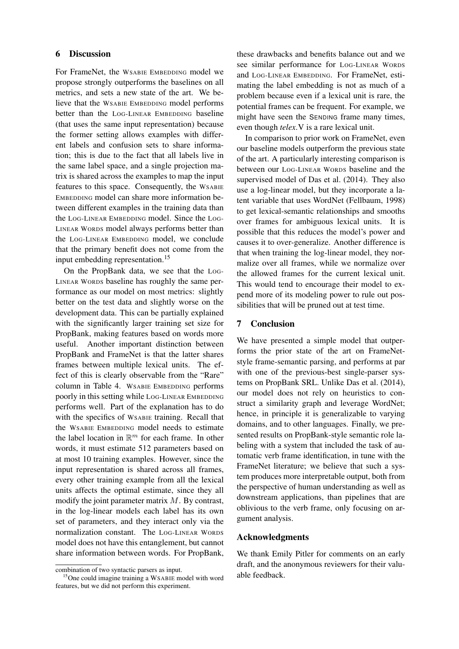## 6 Discussion

For FrameNet, the WSABIE EMBEDDING model we propose strongly outperforms the baselines on all metrics, and sets a new state of the art. We believe that the WSABIE EMBEDDING model performs better than the LOG-LINEAR EMBEDDING baseline (that uses the same input representation) because the former setting allows examples with different labels and confusion sets to share information; this is due to the fact that all labels live in the same label space, and a single projection matrix is shared across the examples to map the input features to this space. Consequently, the WSABIE EMBEDDING model can share more information between different examples in the training data than the LOG-LINEAR EMBEDDING model. Since the LOG-LINEAR WORDS model always performs better than the LOG-LINEAR EMBEDDING model, we conclude that the primary benefit does not come from the input embedding representation.<sup>15</sup>

On the PropBank data, we see that the LOG-LINEAR WORDS baseline has roughly the same performance as our model on most metrics: slightly better on the test data and slightly worse on the development data. This can be partially explained with the significantly larger training set size for PropBank, making features based on words more useful. Another important distinction between PropBank and FrameNet is that the latter shares frames between multiple lexical units. The effect of this is clearly observable from the "Rare" column in Table 4. WSABIE EMBEDDING performs poorly in this setting while LOG-LINEAR EMBEDDING performs well. Part of the explanation has to do with the specifics of WSABIE training. Recall that the WSABIE EMBEDDING model needs to estimate the label location in  $\mathbb{R}^m$  for each frame. In other words, it must estimate 512 parameters based on at most 10 training examples. However, since the input representation is shared across all frames, every other training example from all the lexical units affects the optimal estimate, since they all modify the joint parameter matrix  $M$ . By contrast, in the log-linear models each label has its own set of parameters, and they interact only via the normalization constant. The LOG-LINEAR WORDS model does not have this entanglement, but cannot share information between words. For PropBank, these drawbacks and benefits balance out and we see similar performance for LOG-LINEAR WORDS and LOG-LINEAR EMBEDDING. For FrameNet, estimating the label embedding is not as much of a problem because even if a lexical unit is rare, the potential frames can be frequent. For example, we might have seen the SENDING frame many times, even though *telex*.V is a rare lexical unit.

In comparison to prior work on FrameNet, even our baseline models outperform the previous state of the art. A particularly interesting comparison is between our LOG-LINEAR WORDS baseline and the supervised model of Das et al. (2014). They also use a log-linear model, but they incorporate a latent variable that uses WordNet (Fellbaum, 1998) to get lexical-semantic relationships and smooths over frames for ambiguous lexical units. It is possible that this reduces the model's power and causes it to over-generalize. Another difference is that when training the log-linear model, they normalize over all frames, while we normalize over the allowed frames for the current lexical unit. This would tend to encourage their model to expend more of its modeling power to rule out possibilities that will be pruned out at test time.

#### 7 Conclusion

We have presented a simple model that outperforms the prior state of the art on FrameNetstyle frame-semantic parsing, and performs at par with one of the previous-best single-parser systems on PropBank SRL. Unlike Das et al. (2014), our model does not rely on heuristics to construct a similarity graph and leverage WordNet; hence, in principle it is generalizable to varying domains, and to other languages. Finally, we presented results on PropBank-style semantic role labeling with a system that included the task of automatic verb frame identification, in tune with the FrameNet literature; we believe that such a system produces more interpretable output, both from the perspective of human understanding as well as downstream applications, than pipelines that are oblivious to the verb frame, only focusing on argument analysis.

## Acknowledgments

We thank Emily Pitler for comments on an early draft, and the anonymous reviewers for their valuable feedback.

combination of two syntactic parsers as input.

<sup>15</sup>One could imagine training a WSABIE model with word features, but we did not perform this experiment.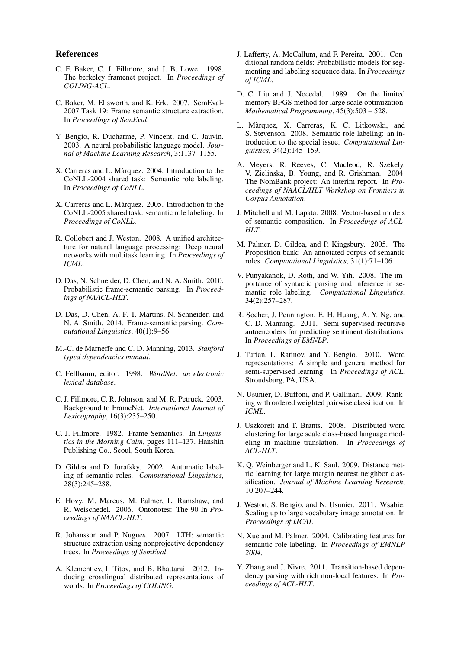#### References

- C. F. Baker, C. J. Fillmore, and J. B. Lowe. 1998. The berkeley framenet project. In *Proceedings of COLING-ACL*.
- C. Baker, M. Ellsworth, and K. Erk. 2007. SemEval-2007 Task 19: Frame semantic structure extraction. In *Proceedings of SemEval*.
- Y. Bengio, R. Ducharme, P. Vincent, and C. Jauvin. 2003. A neural probabilistic language model. *Journal of Machine Learning Research*, 3:1137–1155.
- X. Carreras and L. Màrquez. 2004. Introduction to the CoNLL-2004 shared task: Semantic role labeling. In *Proceedings of CoNLL*.
- X. Carreras and L. Màrquez. 2005. Introduction to the CoNLL-2005 shared task: semantic role labeling. In *Proceedings of CoNLL*.
- R. Collobert and J. Weston. 2008. A unified architecture for natural language processing: Deep neural networks with multitask learning. In *Proceedings of ICML*.
- D. Das, N. Schneider, D. Chen, and N. A. Smith. 2010. Probabilistic frame-semantic parsing. In *Proceedings of NAACL-HLT*.
- D. Das, D. Chen, A. F. T. Martins, N. Schneider, and N. A. Smith. 2014. Frame-semantic parsing. *Computational Linguistics*, 40(1):9–56.
- M.-C. de Marneffe and C. D. Manning, 2013. *Stanford typed dependencies manual*.
- C. Fellbaum, editor. 1998. *WordNet: an electronic lexical database*.
- C. J. Fillmore, C. R. Johnson, and M. R. Petruck. 2003. Background to FrameNet. *International Journal of Lexicography*, 16(3):235–250.
- C. J. Fillmore. 1982. Frame Semantics. In *Linguistics in the Morning Calm*, pages 111–137. Hanshin Publishing Co., Seoul, South Korea.
- D. Gildea and D. Jurafsky. 2002. Automatic labeling of semantic roles. *Computational Linguistics*, 28(3):245–288.
- E. Hovy, M. Marcus, M. Palmer, L. Ramshaw, and R. Weischedel. 2006. Ontonotes: The 90 In *Proceedings of NAACL-HLT*.
- R. Johansson and P. Nugues. 2007. LTH: semantic structure extraction using nonprojective dependency trees. In *Proceedings of SemEval*.
- A. Klementiev, I. Titov, and B. Bhattarai. 2012. Inducing crosslingual distributed representations of words. In *Proceedings of COLING*.
- J. Lafferty, A. McCallum, and F. Pereira. 2001. Conditional random fields: Probabilistic models for segmenting and labeling sequence data. In *Proceedings of ICML*.
- D. C. Liu and J. Nocedal. 1989. On the limited memory BFGS method for large scale optimization. *Mathematical Programming*, 45(3):503 – 528.
- L. Marquez, X. Carreras, K. C. Litkowski, and ` S. Stevenson. 2008. Semantic role labeling: an introduction to the special issue. *Computational Linguistics*, 34(2):145–159.
- A. Meyers, R. Reeves, C. Macleod, R. Szekely, V. Zielinska, B. Young, and R. Grishman. 2004. The NomBank project: An interim report. In *Proceedings of NAACL/HLT Workshop on Frontiers in Corpus Annotation*.
- J. Mitchell and M. Lapata. 2008. Vector-based models of semantic composition. In *Proceedings of ACL-HLT*.
- M. Palmer, D. Gildea, and P. Kingsbury. 2005. The Proposition bank: An annotated corpus of semantic roles. *Computational Linguistics*, 31(1):71–106.
- V. Punyakanok, D. Roth, and W. Yih. 2008. The importance of syntactic parsing and inference in semantic role labeling. *Computational Linguistics*, 34(2):257–287.
- R. Socher, J. Pennington, E. H. Huang, A. Y. Ng, and C. D. Manning. 2011. Semi-supervised recursive autoencoders for predicting sentiment distributions. In *Proceedings of EMNLP*.
- J. Turian, L. Ratinov, and Y. Bengio. 2010. Word representations: A simple and general method for semi-supervised learning. In *Proceedings of ACL*, Stroudsburg, PA, USA.
- N. Usunier, D. Buffoni, and P. Gallinari. 2009. Ranking with ordered weighted pairwise classification. In *ICML*.
- J. Uszkoreit and T. Brants. 2008. Distributed word clustering for large scale class-based language modeling in machine translation. In *Proceedings of ACL-HLT*.
- K. Q. Weinberger and L. K. Saul. 2009. Distance metric learning for large margin nearest neighbor classification. *Journal of Machine Learning Research*, 10:207–244.
- J. Weston, S. Bengio, and N. Usunier. 2011. Wsabie: Scaling up to large vocabulary image annotation. In *Proceedings of IJCAI*.
- N. Xue and M. Palmer. 2004. Calibrating features for semantic role labeling. In *Proceedings of EMNLP 2004*.
- Y. Zhang and J. Nivre. 2011. Transition-based dependency parsing with rich non-local features. In *Proceedings of ACL-HLT*.